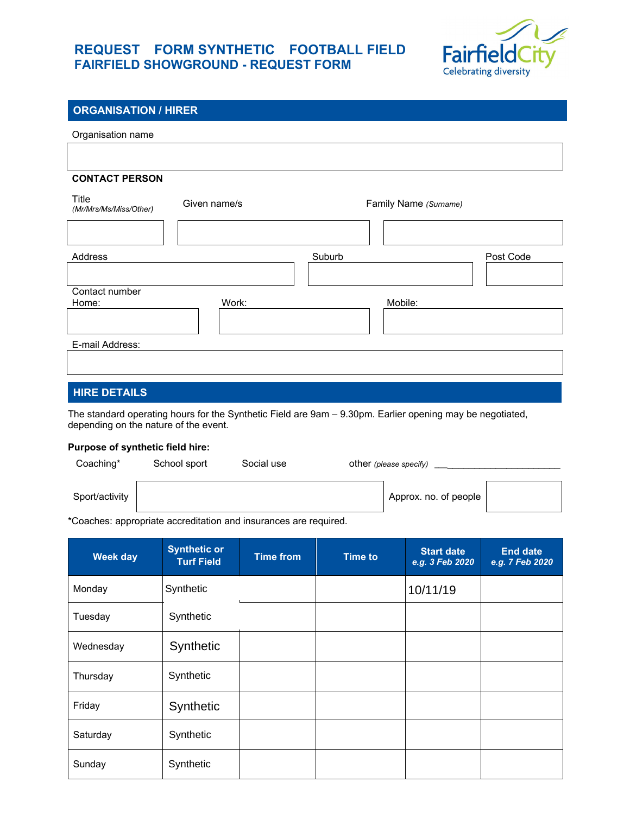## **REQUEST FORM SYNTHETIC FOOTBALL FIELD FAIRFIELD SHOWGROUND - REQUEST FORM**



### **ORGANISATION / HIRER**

| Organisation name                     |              |                                                                                                           |           |
|---------------------------------------|--------------|-----------------------------------------------------------------------------------------------------------|-----------|
|                                       |              |                                                                                                           |           |
|                                       |              |                                                                                                           |           |
| <b>CONTACT PERSON</b>                 |              |                                                                                                           |           |
| Title<br>(Mr/Mrs/Ms/Miss/Other)       | Given name/s | Family Name (Surname)                                                                                     |           |
|                                       |              |                                                                                                           |           |
| Address                               |              | Suburb                                                                                                    | Post Code |
|                                       |              |                                                                                                           |           |
| Contact number                        |              |                                                                                                           |           |
| Home:                                 | Work:        | Mobile:                                                                                                   |           |
|                                       |              |                                                                                                           |           |
| E-mail Address:                       |              |                                                                                                           |           |
|                                       |              |                                                                                                           |           |
| <b>HIRE DETAILS</b>                   |              |                                                                                                           |           |
| depending on the nature of the event. |              | The standard operating hours for the Synthetic Field are 9am - 9.30pm. Earlier opening may be negotiated, |           |

#### **Purpose of synthetic field hire:**

| Coaching*      | School sport | Social use | other (please specify) |
|----------------|--------------|------------|------------------------|
| Sport/activity |              |            | Approx. no. of people  |

\*Coaches: appropriate accreditation and insurances are required.

| Week day  | <b>Synthetic or</b><br><b>Turf Field</b> | <b>Time from</b> | <b>Time to</b> | <b>Start date</b><br>e.g. 3 Feb 2020 | <b>End date</b><br>e.g. 7 Feb 2020 |
|-----------|------------------------------------------|------------------|----------------|--------------------------------------|------------------------------------|
| Monday    | Synthetic                                |                  |                | 10/11/19                             |                                    |
| Tuesday   | Synthetic                                |                  |                |                                      |                                    |
| Wednesday | Synthetic                                |                  |                |                                      |                                    |
| Thursday  | Synthetic                                |                  |                |                                      |                                    |
| Friday    | Synthetic                                |                  |                |                                      |                                    |
| Saturday  | Synthetic                                |                  |                |                                      |                                    |
| Sunday    | Synthetic                                |                  |                |                                      |                                    |